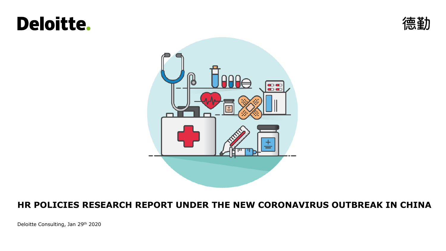# **Deloitte.**





### **HR POLICIES RESEARCH REPORT UNDER THE NEW CORONAVIRUS OUTBREAK IN CHINA**

Deloitte Consulting, Jan 29th 2020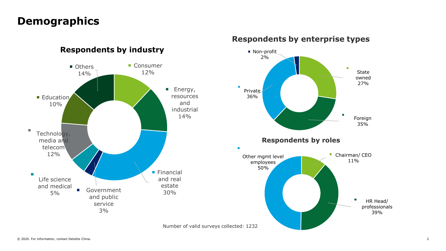### **Demographics**



#### **Respondents by industry**

#### **Respondents by enterprise types**

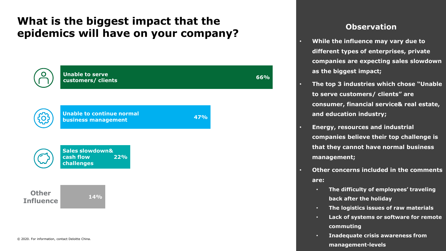### **What is the biggest impact that the epidemics will have on your company? CODEN CONSTRANSISTS**



- **While the influence may vary due to different types of enterprises, private companies are expecting sales slowdown as the biggest impact;**
	- **The top 3 industries which chose "Unable to serve customers/ clients" are consumer, financial service& real estate, and education industry;**
	- **Energy, resources and industrial companies believe their top challenge is that they cannot have normal business management;**
- **Other concerns included in the comments are:** 
	- **The difficulty of employees' traveling back after the holiday**
	- **The logistics issues of raw materials**
	- **Lack of systems or software for remote commuting**
	- **Inadequate crisis awareness from management-levels**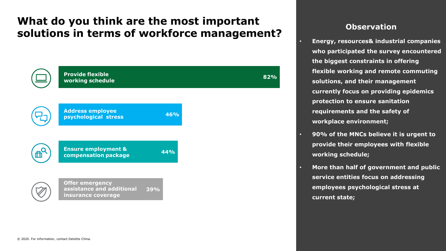### **What do you think are the most important solutions in terms of workforce management?**



- **Energy, resources& industrial companies who participated the survey encountered the biggest constraints in offering flexible working and remote commuting solutions, and their management currently focus on providing epidemics protection to ensure sanitation requirements and the safety of workplace environment;**
- **90% of the MNCs believe it is urgent to provide their employees with flexible working schedule;**
- **More than half of government and public service entities focus on addressing employees psychological stress at current state;**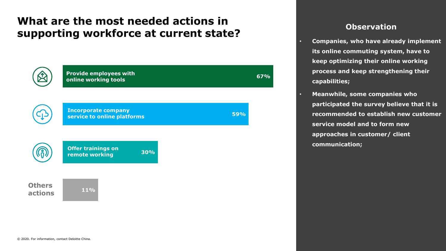### **What are the most needed actions in supporting workforce at current state?**

|                          | <b>Provide employees with</b><br>online working tools     |     | <b>67%</b> |
|--------------------------|-----------------------------------------------------------|-----|------------|
|                          | <b>Incorporate company</b><br>service to online platforms | 59% |            |
|                          | <b>Offer trainings on</b><br>remote working               | 30% |            |
| <b>Others</b><br>actions | 11%                                                       |     |            |

- **Companies, who have already implement its online commuting system, have to keep optimizing their online working process and keep strengthening their capabilities;**
- **Meanwhile, some companies who participated the survey believe that it is recommended to establish new customer service model and to form new approaches in customer/ client communication;**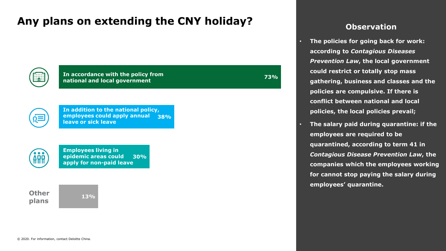## Any plans on extending the CNY holiday? **CONCERN CONSERVATION**

|  | $\cdots$<br> |  |
|--|--------------|--|
|  |              |  |

**In accordance with the policy from national and local government**

**38% In addition to the national policy, employees could apply annual leave or sick leave**



**30% Employees living in epidemic areas could apply for non-paid leave**

**Other plans**

**13%**

• **The policies for going back for work: according to** *Contagious Diseases Prevention Law***, the local government could restrict or totally stop mass gathering, business and classes and the policies are compulsive. If there is conflict between national and local policies, the local policies prevail;**

**73%**

• **The salary paid during quarantine: if the employees are required to be quarantined, according to term 41 in**  *Contagious Disease Prevention Law***, the companies which the employees working for cannot stop paying the salary during employees' quarantine.**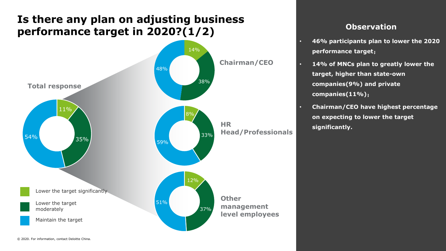### **Is there any plan on adjusting business performance target in 2020?(1/2)**



- **46% participants plan to lower the 2020 performance target**;
- **14% of MNCs plan to greatly lower the target, higher than state-own companies(9%) and private companies(11%)**;
- **Chairman/CEO have highest percentage on expecting to lower the target significantly.**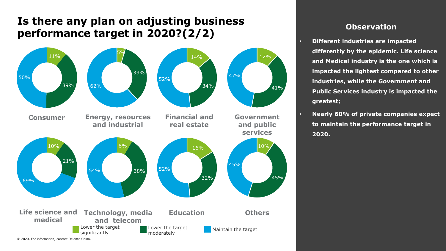### **Is there any plan on adjusting business performance target in 2020?(2/2)**



- **Different industries are impacted differently by the epidemic. Life science and Medical industry is the one which is impacted the lightest compared to other industries, while the Government and Public Services industry is impacted the greatest;**
- **Nearly 60% of private companies expect to maintain the performance target in 2020.**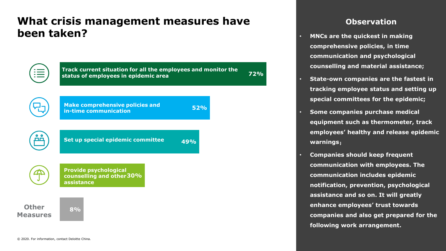### **What crisis management measures have been taken?**



- **MNCs are the quickest in making comprehensive policies, in time communication and psychological counselling and material assistance;**
- **State-own companies are the fastest in tracking employee status and setting up special committees for the epidemic;**
- **Some companies purchase medical equipment such as thermometer, track employees' healthy and release epidemic warnings**;
- **Companies should keep frequent communication with employees. The communication includes epidemic notification, prevention, psychological assistance and so on. It will greatly enhance employees' trust towards companies and also get prepared for the following work arrangement.**